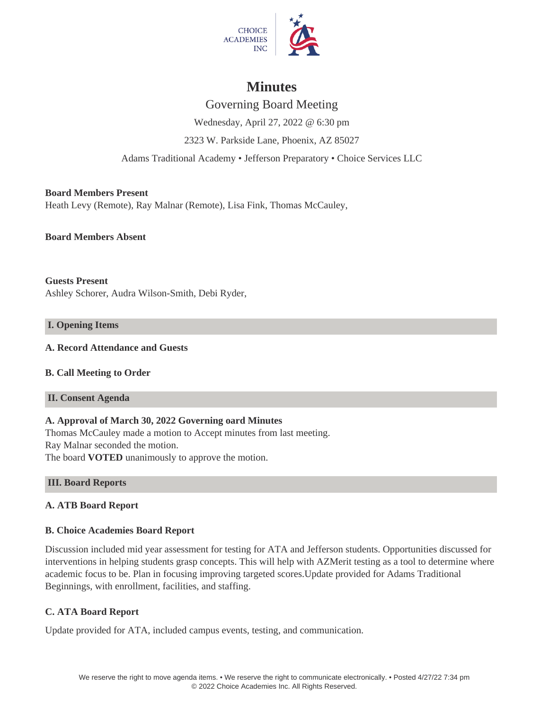

# **Minutes**

Governing Board Meeting Wednesday, April 27, 2022 @ 6:30 pm 2323 W. Parkside Lane, Phoenix, AZ 85027 Adams Traditional Academy • Jefferson Preparatory • Choice Services LLC

**Board Members Present** Heath Levy (Remote), Ray Malnar (Remote), Lisa Fink, Thomas McCauley,

**Board Members Absent**

**Guests Present** Ashley Schorer, Audra Wilson-Smith, Debi Ryder,

# **I. Opening Items**

# **A. Record Attendance and Guests**

**B. Call Meeting to Order**

# **II. Consent Agenda**

# **A. Approval of March 30, 2022 Governing oard Minutes**

Thomas McCauley made a motion to Accept minutes from last meeting. Ray Malnar seconded the motion. The board **VOTED** unanimously to approve the motion.

# **III. Board Reports**

# **A. ATB Board Report**

# **B. Choice Academies Board Report**

Discussion included mid year assessment for testing for ATA and Jefferson students. Opportunities discussed for interventions in helping students grasp concepts. This will help with AZMerit testing as a tool to determine where academic focus to be. Plan in focusing improving targeted scores.Update provided for Adams Traditional Beginnings, with enrollment, facilities, and staffing.

# **C. ATA Board Report**

Update provided for ATA, included campus events, testing, and communication.